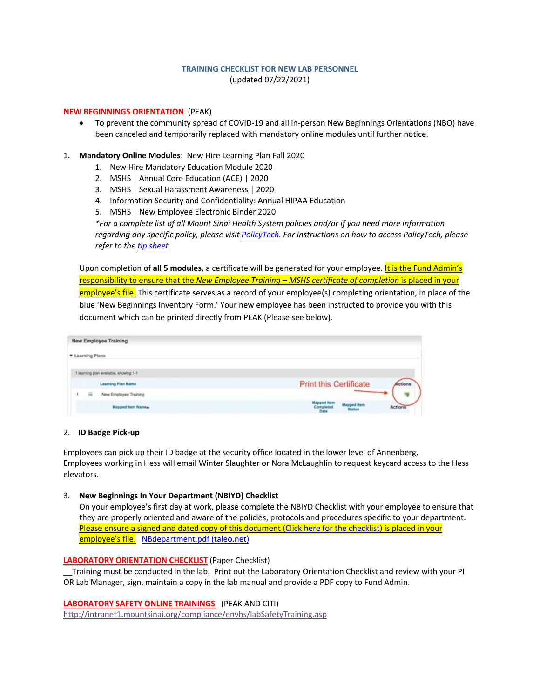# **TRAINING CHECKLIST FOR NEW LAB PERSONNEL** (updated 07/22/2021)

### **NEW BEGINNINGS ORIENTATION** (PEAK)

- To prevent the community spread of COVID-19 and all in-person New Beginnings Orientations (NBO) have been canceled and temporarily replaced with mandatory online modules until further notice.
- 1. **Mandatory Online Modules**: New Hire Learning Plan Fall 2020
	- 1. New Hire Mandatory Education Module 2020
	- 2. MSHS | Annual Core Education (ACE) | 2020
	- 3. MSHS | Sexual Harassment Awareness | 2020
	- 4. Information Security and Confidentiality: Annual HIPAA Education
	- 5. MSHS | New Employee Electronic Binder 2020

*\*For a complete list of all Mount Sinai Health System policies and/or if you need more information regarding any specific policy, please visit PolicyTech. For instructions on how to access PolicyTech, please refer to the tip sheet*

Upon completion of **all 5 modules**, a certificate will be generated for your employee. It is the Fund Admin's responsibility to ensure that the *New Employee Training – MSHS certificate of completion* is placed in your employee's file. This certificate serves as a record of your employee(s) completing orientation, in place of the blue 'New Beginnings Inventory Form.' Your new employee has been instructed to provide you with this document which can be printed directly from PEAK (Please see below).

| <b>New Employee Training</b>           |                               |
|----------------------------------------|-------------------------------|
| <b>v</b> Learning Plans                |                               |
| 1 learning plan available, showing 1-1 |                               |
| <b>Learning Plan Name</b>              | <b>Print this Certificate</b> |
| New Employee Training<br>段             |                               |
| <b>Mapped Item Names</b>               | Status                        |

#### 2. **ID Badge Pick-up**

Employees can pick up their ID badge at the security office located in the lower level of Annenberg. Employees working in Hess will email Winter Slaughter or Nora McLaughlin to request keycard access to the Hess elevators.

#### 3. **New Beginnings In Your Department (NBIYD) Checklist**

On your employee's first day at work, please complete the NBIYD Checklist with your employee to ensure that they are properly oriented and aware of the policies, protocols and procedures specific to your department. Please ensure a signed and dated copy of this document (Click here for the checklist) is placed in your employee's file. NBdepartment.pdf (taleo.net)

### **LABORATORY ORIENTATION CHECKLIST** (Paper Checklist)

\_\_Training must be conducted in the lab. Print out the Laboratory Orientation Checklist and review with your PI OR Lab Manager, sign, maintain a copy in the lab manual and provide a PDF copy to Fund Admin.

**LABORATORY SAFETY ONLINE TRAININGS** (PEAK AND CITI) http://intranet1.mountsinai.org/compliance/envhs/labSafetyTraining.asp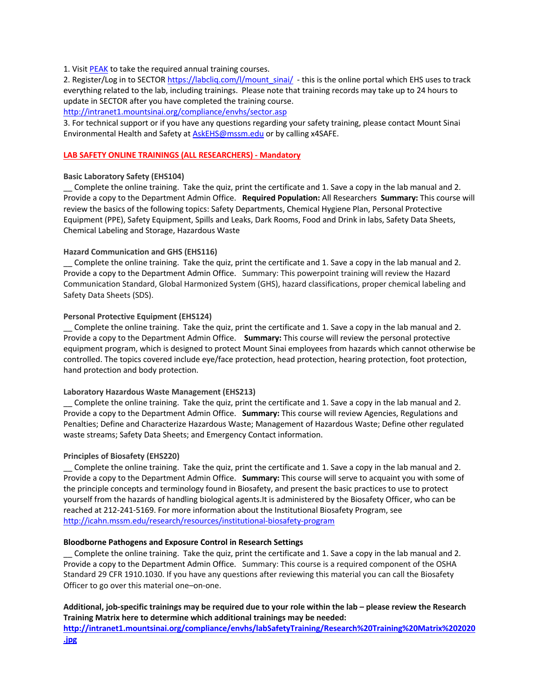### 1. Visit PEAK to take the required annual training courses.

2. Register/Log in to SECTOR https://labcliq.com/l/mount\_sinai/ - this is the online portal which EHS uses to track everything related to the lab, including trainings. Please note that training records may take up to 24 hours to update in SECTOR after you have completed the training course.

http://intranet1.mountsinai.org/compliance/envhs/sector.asp

3. For technical support or if you have any questions regarding your safety training, please contact Mount Sinai Environmental Health and Safety at AskEHS@mssm.edu or by calling x4SAFE.

# **LAB SAFETY ONLINE TRAININGS (ALL RESEARCHERS) - Mandatory**

## **Basic Laboratory Safety (EHS104)**

\_\_ Complete the online training. Take the quiz, print the certificate and 1. Save a copy in the lab manual and 2. Provide a copy to the Department Admin Office. **Required Population:** All Researchers **Summary:** This course will review the basics of the following topics: Safety Departments, Chemical Hygiene Plan, Personal Protective Equipment (PPE), Safety Equipment, Spills and Leaks, Dark Rooms, Food and Drink in labs, Safety Data Sheets, Chemical Labeling and Storage, Hazardous Waste

## **Hazard Communication and GHS (EHS116)**

\_\_ Complete the online training. Take the quiz, print the certificate and 1. Save a copy in the lab manual and 2. Provide a copy to the Department Admin Office. Summary: This powerpoint training will review the Hazard Communication Standard, Global Harmonized System (GHS), hazard classifications, proper chemical labeling and Safety Data Sheets (SDS).

## **Personal Protective Equipment (EHS124)**

\_\_ Complete the online training. Take the quiz, print the certificate and 1. Save a copy in the lab manual and 2. Provide a copy to the Department Admin Office. **Summary:** This course will review the personal protective equipment program, which is designed to protect Mount Sinai employees from hazards which cannot otherwise be controlled. The topics covered include eye/face protection, head protection, hearing protection, foot protection, hand protection and body protection.

### **Laboratory Hazardous Waste Management (EHS213)**

\_\_ Complete the online training. Take the quiz, print the certificate and 1. Save a copy in the lab manual and 2. Provide a copy to the Department Admin Office. **Summary:** This course will review Agencies, Regulations and Penalties; Define and Characterize Hazardous Waste; Management of Hazardous Waste; Define other regulated waste streams; Safety Data Sheets; and Emergency Contact information.

### **Principles of Biosafety (EHS220)**

\_\_ Complete the online training. Take the quiz, print the certificate and 1. Save a copy in the lab manual and 2. Provide a copy to the Department Admin Office. **Summary:** This course will serve to acquaint you with some of the principle concepts and terminology found in Biosafety, and present the basic practices to use to protect yourself from the hazards of handling biological agents.It is administered by the Biosafety Officer, who can be reached at 212-241-5169. For more information about the Institutional Biosafety Program, see http://icahn.mssm.edu/research/resources/institutional-biosafety-program

### **Bloodborne Pathogens and Exposure Control in Research Settings**

\_\_ Complete the online training. Take the quiz, print the certificate and 1. Save a copy in the lab manual and 2. Provide a copy to the Department Admin Office. Summary: This course is a required component of the OSHA Standard 29 CFR 1910.1030. If you have any questions after reviewing this material you can call the Biosafety Officer to go over this material one–on-one.

**Additional, job-specific trainings may be required due to your role within the lab – please review the Research Training Matrix here to determine which additional trainings may be needed: http://intranet1.mountsinai.org/compliance/envhs/labSafetyTraining/Research%20Training%20Matrix%202020**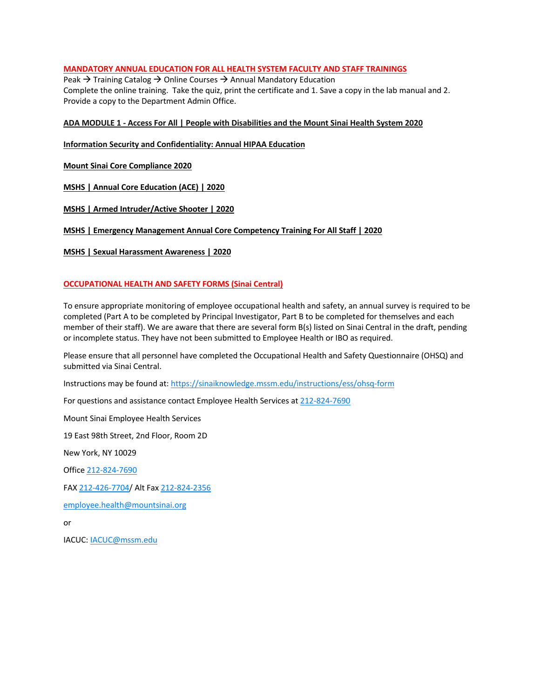# **MANDATORY ANNUAL EDUCATION FOR ALL HEALTH SYSTEM FACULTY AND STAFF TRAININGS**

Peak  $\rightarrow$  Training Catalog  $\rightarrow$  Online Courses  $\rightarrow$  Annual Mandatory Education Complete the online training. Take the quiz, print the certificate and 1. Save a copy in the lab manual and 2. Provide a copy to the Department Admin Office.

## **ADA MODULE 1 - Access For All | People with Disabilities and the Mount Sinai Health System 2020**

**Information Security and Confidentiality: Annual HIPAA Education** 

**Mount Sinai Core Compliance 2020**

**MSHS | Annual Core Education (ACE) | 2020**

**MSHS | Armed Intruder/Active Shooter | 2020**

## **MSHS | Emergency Management Annual Core Competency Training For All Staff | 2020**

**MSHS | Sexual Harassment Awareness | 2020**

# **OCCUPATIONAL HEALTH AND SAFETY FORMS (Sinai Central)**

To ensure appropriate monitoring of employee occupational health and safety, an annual survey is required to be completed (Part A to be completed by Principal Investigator, Part B to be completed for themselves and each member of their staff). We are aware that there are several form B(s) listed on Sinai Central in the draft, pending or incomplete status. They have not been submitted to Employee Health or IBO as required.

Please ensure that all personnel have completed the Occupational Health and Safety Questionnaire (OHSQ) and submitted via Sinai Central.

Instructions may be found at: https://sinaiknowledge.mssm.edu/instructions/ess/ohsq-form

For questions and assistance contact Employee Health Services at 212-824-7690

Mount Sinai Employee Health Services

19 East 98th Street, 2nd Floor, Room 2D

New York, NY 10029

Office 212-824-7690

FAX 212-426-7704/ Alt Fax 212-824-2356

employee.health@mountsinai.org

or

IACUC: IACUC@mssm.edu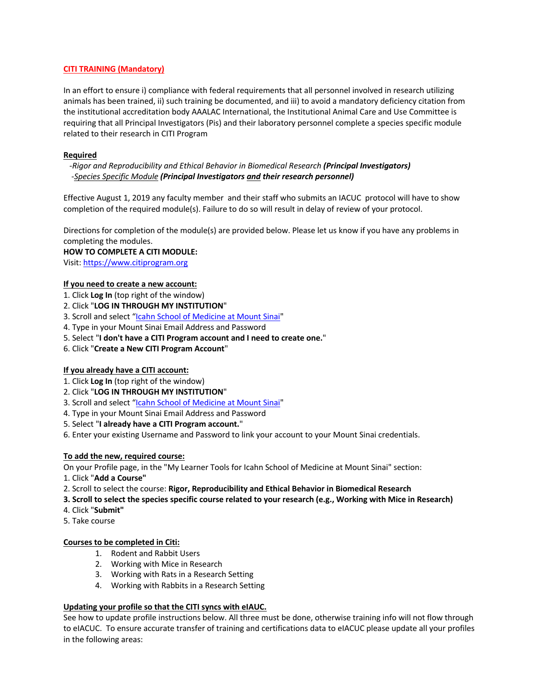# **CITI TRAINING (Mandatory)**

In an effort to ensure i) compliance with federal requirements that all personnel involved in research utilizing animals has been trained, ii) such training be documented, and iii) to avoid a mandatory deficiency citation from the institutional accreditation body AAALAC International, the Institutional Animal Care and Use Committee is requiring that all Principal Investigators (Pis) and their laboratory personnel complete a species specific module related to their research in CITI Program

# **Required**

 *-Rigor and Reproducibility and Ethical Behavior in Biomedical Research (Principal Investigators) -Species Specific Module (Principal Investigators and their research personnel)*

Effective August 1, 2019 any faculty member and their staff who submits an IACUC protocol will have to show completion of the required module(s). Failure to do so will result in delay of review of your protocol.

Directions for completion of the module(s) are provided below. Please let us know if you have any problems in completing the modules.

### **HOW TO COMPLETE A CITI MODULE:**

Visit: https://www.citiprogram.org

## **If you need to create a new account:**

- 1. Click **Log In** (top right of the window)
- 2. Click "**LOG IN THROUGH MY INSTITUTION**"
- 3. Scroll and select "Icahn School of Medicine at Mount Sinai"
- 4. Type in your Mount Sinai Email Address and Password
- 5. Select "**I don't have a CITI Program account and I need to create one.**"
- 6. Click "**Create a New CITI Program Account**"

# **If you already have a CITI account:**

- 1. Click **Log In** (top right of the window)
- 2. Click "**LOG IN THROUGH MY INSTITUTION**"
- 3. Scroll and select "Icahn School of Medicine at Mount Sinai"
- 4. Type in your Mount Sinai Email Address and Password

### 5. Select "**I already have a CITI Program account.**"

6. Enter your existing Username and Password to link your account to your Mount Sinai credentials.

# **To add the new, required course:**

On your Profile page, in the "My Learner Tools for Icahn School of Medicine at Mount Sinai" section:

- 1. Click "**Add a Course"**
- 2. Scroll to select the course: **Rigor, Reproducibility and Ethical Behavior in Biomedical Research**
- **3. Scroll to select the species specific course related to your research (e.g., Working with Mice in Research)**
- 4. Click "**Submit"**
- 5. Take course

# **Courses to be completed in Citi:**

- 1. Rodent and Rabbit Users
- 2. Working with Mice in Research
- 3. Working with Rats in a Research Setting
- 4. Working with Rabbits in a Research Setting

# **Updating your profile so that the CITI syncs with eIAUC.**

See how to update profile instructions below. All three must be done, otherwise training info will not flow through to eIACUC. To ensure accurate transfer of training and certifications data to eIACUC please update all your profiles in the following areas: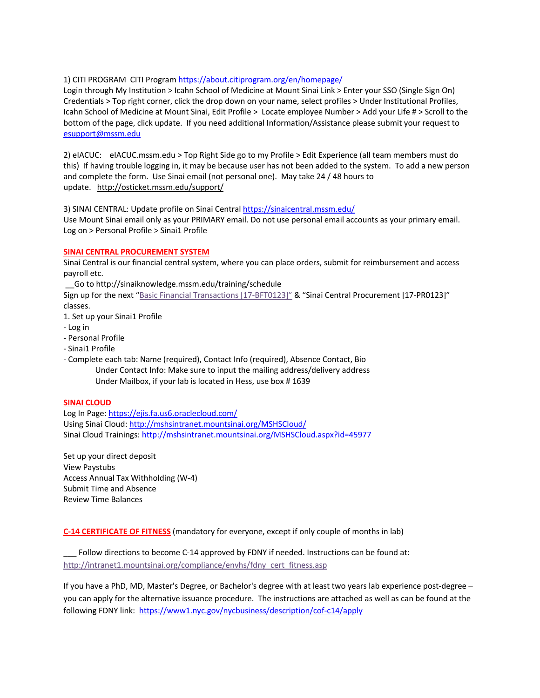# 1) CITI PROGRAM CITI Program https://about.citiprogram.org/en/homepage/

Login through My Institution > Icahn School of Medicine at Mount Sinai Link > Enter your SSO (Single Sign On) Credentials > Top right corner, click the drop down on your name, select profiles > Under Institutional Profiles, Icahn School of Medicine at Mount Sinai, Edit Profile > Locate employee Number > Add your Life # > Scroll to the bottom of the page, click update. If you need additional Information/Assistance please submit your request to esupport@mssm.edu

2) eIACUC: eIACUC.mssm.edu > Top Right Side go to my Profile > Edit Experience (all team members must do this) If having trouble logging in, it may be because user has not been added to the system. To add a new person and complete the form. Use Sinai email (not personal one). May take 24 / 48 hours to update. http://osticket.mssm.edu/support/

3) SINAI CENTRAL: Update profile on Sinai Central https://sinaicentral.mssm.edu/

Use Mount Sinai email only as your PRIMARY email. Do not use personal email accounts as your primary email. Log on > Personal Profile > Sinai1 Profile

## **SINAI CENTRAL PROCUREMENT SYSTEM**

Sinai Central is our financial central system, where you can place orders, submit for reimbursement and access payroll etc.

\_\_Go to http://sinaiknowledge.mssm.edu/training/schedule

Sign up for the next "Basic Financial Transactions [17-BFT0123]" & "Sinai Central Procurement [17-PR0123]" classes.

- 1. Set up your Sinai1 Profile
- Log in
- Personal Profile
- Sinai1 Profile
- Complete each tab: Name (required), Contact Info (required), Absence Contact, Bio Under Contact Info: Make sure to input the mailing address/delivery address Under Mailbox, if your lab is located in Hess, use box # 1639

### **SINAI CLOUD**

Log In Page: https://ejis.fa.us6.oraclecloud.com/ Using Sinai Cloud: http://mshsintranet.mountsinai.org/MSHSCloud/ Sinai Cloud Trainings: http://mshsintranet.mountsinai.org/MSHSCloud.aspx?id=45977

Set up your direct deposit View Paystubs Access Annual Tax Withholding (W-4) Submit Time and Absence Review Time Balances

**C-14 CERTIFICATE OF FITNESS** (mandatory for everyone, except if only couple of months in lab)

Follow directions to become C-14 approved by FDNY if needed. Instructions can be found at: http://intranet1.mountsinai.org/compliance/envhs/fdny\_cert\_fitness.asp

If you have a PhD, MD, Master's Degree, or Bachelor's degree with at least two years lab experience post-degree – you can apply for the alternative issuance procedure. The instructions are attached as well as can be found at the following FDNY link: https://www1.nyc.gov/nycbusiness/description/cof-c14/apply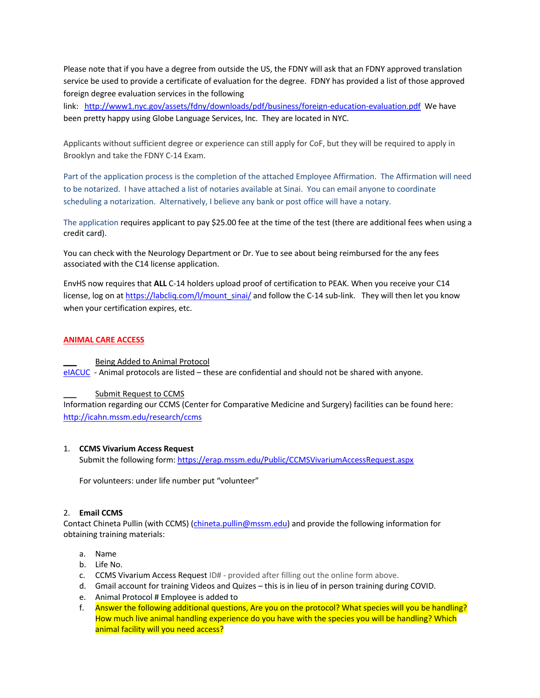Please note that if you have a degree from outside the US, the FDNY will ask that an FDNY approved translation service be used to provide a certificate of evaluation for the degree. FDNY has provided a list of those approved foreign degree evaluation services in the following

link: http://www1.nyc.gov/assets/fdny/downloads/pdf/business/foreign-education-evaluation.pdf We have been pretty happy using Globe Language Services, Inc. They are located in NYC.

Applicants without sufficient degree or experience can still apply for CoF, but they will be required to apply in Brooklyn and take the FDNY C-14 Exam.

Part of the application process is the completion of the attached Employee Affirmation. The Affirmation will need to be notarized. I have attached a list of notaries available at Sinai. You can email anyone to coordinate scheduling a notarization. Alternatively, I believe any bank or post office will have a notary.

The application requires applicant to pay \$25.00 fee at the time of the test (there are additional fees when using a credit card).

You can check with the Neurology Department or Dr. Yue to see about being reimbursed for the any fees associated with the C14 license application.

EnvHS now requires that **ALL** C-14 holders upload proof of certification to PEAK. When you receive your C14 license, log on at https://labcliq.com/l/mount\_sinai/ and follow the C-14 sub-link. They will then let you know when your certification expires, etc.

## **ANIMAL CARE ACCESS**

# **\_\_\_** Being Added to Animal Protocol

eIACUC - Animal protocols are listed – these are confidential and should not be shared with anyone.

# **\_\_\_** Submit Request to CCMS

Information regarding our CCMS (Center for Comparative Medicine and Surgery) facilities can be found here: http://icahn.mssm.edu/research/ccms

### 1. **CCMS Vivarium Access Request**

Submit the following form: https://erap.mssm.edu/Public/CCMSVivariumAccessRequest.aspx

For volunteers: under life number put "volunteer"

### 2. **Email CCMS**

Contact Chineta Pullin (with CCMS) (chineta.pullin@mssm.edu) and provide the following information for obtaining training materials:

- a. Name
- b. Life No.
- c. CCMS Vivarium Access Request ID# provided after filling out the online form above.
- d. Gmail account for training Videos and Quizes this is in lieu of in person training during COVID.
- e. Animal Protocol # Employee is added to
- f. Answer the following additional questions, Are you on the protocol? What species will you be handling? How much live animal handling experience do you have with the species you will be handling? Which animal facility will you need access?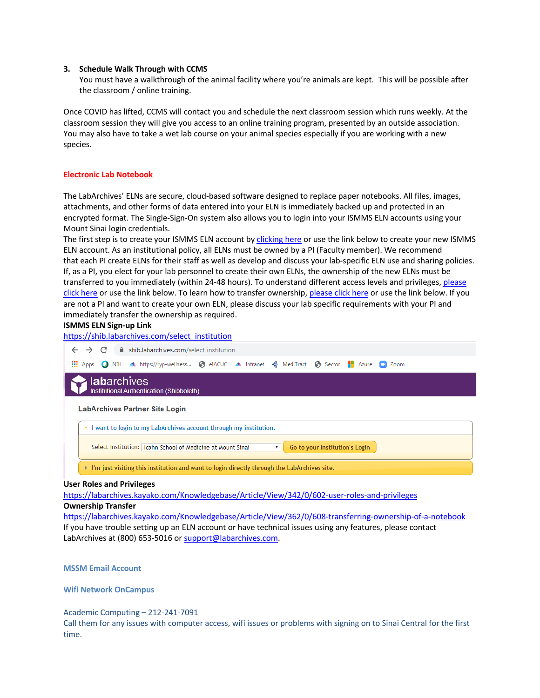### **3. Schedule Walk Through with CCMS**

You must have a walkthrough of the animal facility where you're animals are kept. This will be possible after the classroom / online training.

Once COVID has lifted, CCMS will contact you and schedule the next classroom session which runs weekly. At the classroom session they will give you access to an online training program, presented by an outside association. You may also have to take a wet lab course on your animal species especially if you are working with a new species.

# **Electronic Lab Notebook**

The LabArchives' ELNs are secure, cloud-based software designed to replace paper notebooks. All files, images, attachments, and other forms of data entered into your ELN is immediately backed up and protected in an encrypted format. The Single-Sign-On system also allows you to login into your ISMMS ELN accounts using your Mount Sinai login credentials.

The first step is to create your ISMMS ELN account by clicking here or use the link below to create your new ISMMS ELN account. As an institutional policy, all ELNs must be owned by a PI (Faculty member). We recommend that each PI create ELNs for their staff as well as develop and discuss your lab-specific ELN use and sharing policies. If, as a PI, you elect for your lab personnel to create their own ELNs, the ownership of the new ELNs must be transferred to you immediately (within 24-48 hours). To understand different access levels and privileges, please click here or use the link below. To learn how to transfer ownership, please click here or use the link below. If you are not a PI and want to create your own ELN, please discuss your lab specific requirements with your PI and immediately transfer the ownership as required.

## **ISMMS ELN Sign-up Link**

https://shib.labarchives.com/select\_institution



**WediTract @ Sector** The AL ALTIC ALLING ALLING ALLING A MediTract @ Sector The Azure CO Zoom

# **i lab**archives Institutional Authentication (Shibboleth)

#### **LabArchives Partner Site Login**

| want to login to my LabArchives account through my institution.                                              |  |
|--------------------------------------------------------------------------------------------------------------|--|
| Go to your Institution's Login<br>Select Institution:   Icahn School of Medicine at Mount Sinai              |  |
| $\triangleright$ I'm just visiting this institution and want to login directly through the LabArchives site. |  |

#### **User Roles and Privileges**

https://labarchives.kayako.com/Knowledgebase/Article/View/342/0/602-user-roles-and-privileges

# **Ownership Transfer**

https://labarchives.kayako.com/Knowledgebase/Article/View/362/0/608-transferring-ownership-of-a-notebook If you have trouble setting up an ELN account or have technical issues using any features, please contact LabArchives at (800) 653-5016 or support@labarchives.com.

#### **MSSM Email Account**

#### **Wifi Network OnCampus**

### Academic Computing – 212-241-7091

Call them for any issues with computer access, wifi issues or problems with signing on to Sinai Central for the first time.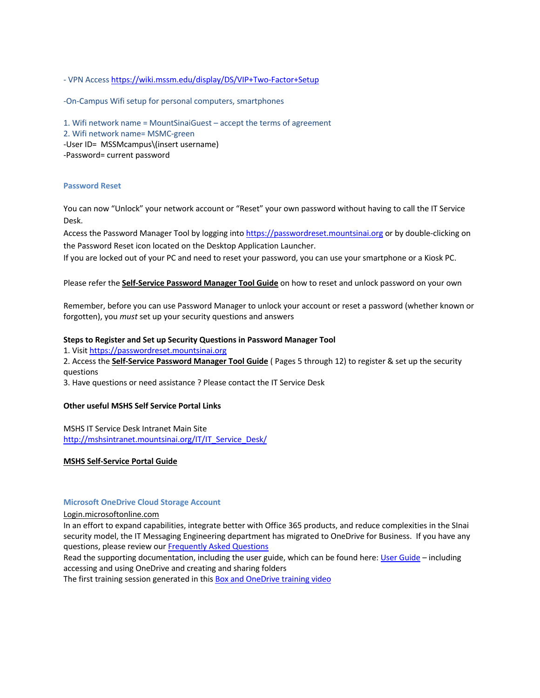- VPN Access https://wiki.mssm.edu/display/DS/VIP+Two-Factor+Setup

-On-Campus Wifi setup for personal computers, smartphones

1. Wifi network name = MountSinaiGuest – accept the terms of agreement 2. Wifi network name= MSMC-green -User ID= MSSMcampus\(insert username) -Password= current password

### **Password Reset**

You can now "Unlock" your network account or "Reset" your own password without having to call the IT Service Desk.

Access the Password Manager Tool by logging into https://passwordreset.mountsinai.org or by double-clicking on the Password Reset icon located on the Desktop Application Launcher.

If you are locked out of your PC and need to reset your password, you can use your smartphone or a Kiosk PC.

## Please refer the **Self-Service Password Manager Tool Guide** on how to reset and unlock password on your own

Remember, before you can use Password Manager to unlock your account or reset a password (whether known or forgotten), you *must* set up your security questions and answers

### **Steps to Register and Set up Security Questions in Password Manager Tool**

1. Visit https://passwordreset.mountsinai.org

2. Access the **Self-Service Password Manager Tool Guide** ( Pages 5 through 12) to register & set up the security questions

3. Have questions or need assistance ? Please contact the IT Service Desk

### **Other useful MSHS Self Service Portal Links**

MSHS IT Service Desk Intranet Main Site http://mshsintranet.mountsinai.org/IT/IT\_Service\_Desk/

### **MSHS Self-Service Portal Guide**

### **Microsoft OneDrive Cloud Storage Account**

Login.microsoftonline.com

In an effort to expand capabilities, integrate better with Office 365 products, and reduce complexities in the SInai security model, the IT Messaging Engineering department has migrated to OneDrive for Business. If you have any questions, please review our Frequently Asked Questions

Read the supporting documentation, including the user guide, which can be found here: User Guide – including accessing and using OneDrive and creating and sharing folders

The first training session generated in this Box and OneDrive training video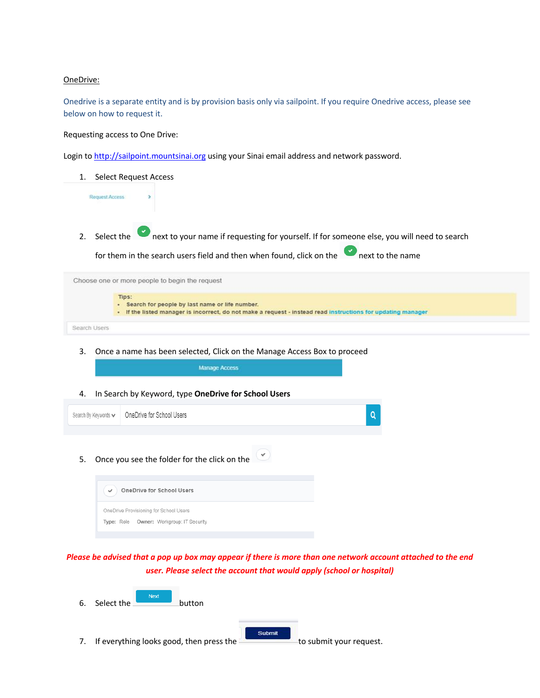## OneDrive:

Onedrive is a separate entity and is by provision basis only via sailpoint. If you require Onedrive access, please see below on how to request it.

Requesting access to One Drive:

Login to http://sailpoint.mountsinai.org using your Sinai email address and network password.

1. Select Request Access **Request Access** 2. Select the next to your name if requesting for yourself. If for someone else, you will need to search for them in the search users field and then when found, click on the next to the name Choose one or more people to begin the request Tips: - Search for people by last name or life number. . If the listed manager is incorrect, do not make a request - instead read instructions for updating manager

```
Search Users
```
3. Once a name has been selected, Click on the Manage Access Box to proceed

Manage Access

4. In Search by Keyword, type **OneDrive for School Users**

| Search By Keywords v   OneDrive for School Users | Q |
|--------------------------------------------------|---|
|                                                  |   |

5. Once you see the folder for the click on the



*Please be advised that a pop up box may appear if there is more than one network account attached to the end user. Please select the account that would apply (school or hospital)*

| 6. | <b>Next</b><br>Select the                | button        |                         |
|----|------------------------------------------|---------------|-------------------------|
|    | If everything looks good, then press the | <b>Submit</b> | to submit your request. |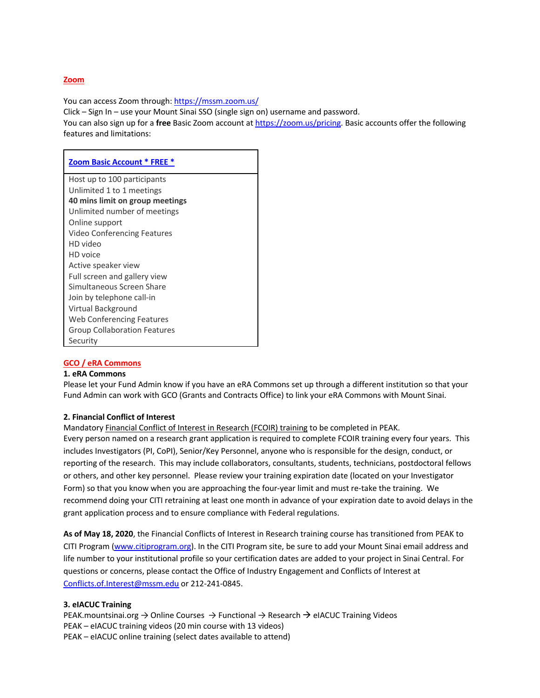## **Zoom**

You can access Zoom through: https://mssm.zoom.us/

Click – Sign In – use your Mount Sinai SSO (single sign on) username and password.

You can also sign up for a **free** Basic Zoom account at https://zoom.us/pricing. Basic accounts offer the following features and limitations:

| Host up to 100 participants<br>Unlimited 1 to 1 meetings<br>40 mins limit on group meetings<br>Unlimited number of meetings<br>Online support<br>Video Conferencing Features<br>HD video<br>HD voice<br>Active speaker view<br>Full screen and gallery view<br>Simultaneous Screen Share<br>Join by telephone call-in<br>Virtual Background<br>Web Conferencing Features<br><b>Group Collaboration Features</b><br>Security | <b>Zoom Basic Account * FREE *</b> |  |
|-----------------------------------------------------------------------------------------------------------------------------------------------------------------------------------------------------------------------------------------------------------------------------------------------------------------------------------------------------------------------------------------------------------------------------|------------------------------------|--|
|                                                                                                                                                                                                                                                                                                                                                                                                                             |                                    |  |
|                                                                                                                                                                                                                                                                                                                                                                                                                             |                                    |  |
|                                                                                                                                                                                                                                                                                                                                                                                                                             |                                    |  |
|                                                                                                                                                                                                                                                                                                                                                                                                                             |                                    |  |
|                                                                                                                                                                                                                                                                                                                                                                                                                             |                                    |  |
|                                                                                                                                                                                                                                                                                                                                                                                                                             |                                    |  |
|                                                                                                                                                                                                                                                                                                                                                                                                                             |                                    |  |
|                                                                                                                                                                                                                                                                                                                                                                                                                             |                                    |  |
|                                                                                                                                                                                                                                                                                                                                                                                                                             |                                    |  |
|                                                                                                                                                                                                                                                                                                                                                                                                                             |                                    |  |
|                                                                                                                                                                                                                                                                                                                                                                                                                             |                                    |  |
|                                                                                                                                                                                                                                                                                                                                                                                                                             |                                    |  |
|                                                                                                                                                                                                                                                                                                                                                                                                                             |                                    |  |
|                                                                                                                                                                                                                                                                                                                                                                                                                             |                                    |  |
|                                                                                                                                                                                                                                                                                                                                                                                                                             |                                    |  |
|                                                                                                                                                                                                                                                                                                                                                                                                                             |                                    |  |

# **GCO / eRA Commons**

#### **1. eRA Commons**

Please let your Fund Admin know if you have an eRA Commons set up through a different institution so that your Fund Admin can work with GCO (Grants and Contracts Office) to link your eRA Commons with Mount Sinai.

# **2. Financial Conflict of Interest**

Mandatory Financial Conflict of Interest in Research (FCOIR) training to be completed in PEAK. Every person named on a research grant application is required to complete FCOIR training every four years. This includes Investigators (PI, CoPI), Senior/Key Personnel, anyone who is responsible for the design, conduct, or reporting of the research. This may include collaborators, consultants, students, technicians, postdoctoral fellows or others, and other key personnel. Please review your training expiration date (located on your Investigator Form) so that you know when you are approaching the four-year limit and must re-take the training. We recommend doing your CITI retraining at least one month in advance of your expiration date to avoid delays in the grant application process and to ensure compliance with Federal regulations.

**As of May 18, 2020**, the Financial Conflicts of Interest in Research training course has transitioned from PEAK to CITI Program (www.citiprogram.org). In the CITI Program site, be sure to add your Mount Sinai email address and life number to your institutional profile so your certification dates are added to your project in Sinai Central. For questions or concerns, please contact the Office of Industry Engagement and Conflicts of Interest at Conflicts.of.Interest@mssm.edu or 212-241-0845.

### **3. eIACUC Training**

PEAK.mountsinai.org  $\rightarrow$  Online Courses  $\rightarrow$  Functional  $\rightarrow$  Research  $\rightarrow$  eIACUC Training Videos PEAK – eIACUC training videos (20 min course with 13 videos) PEAK – eIACUC online training (select dates available to attend)